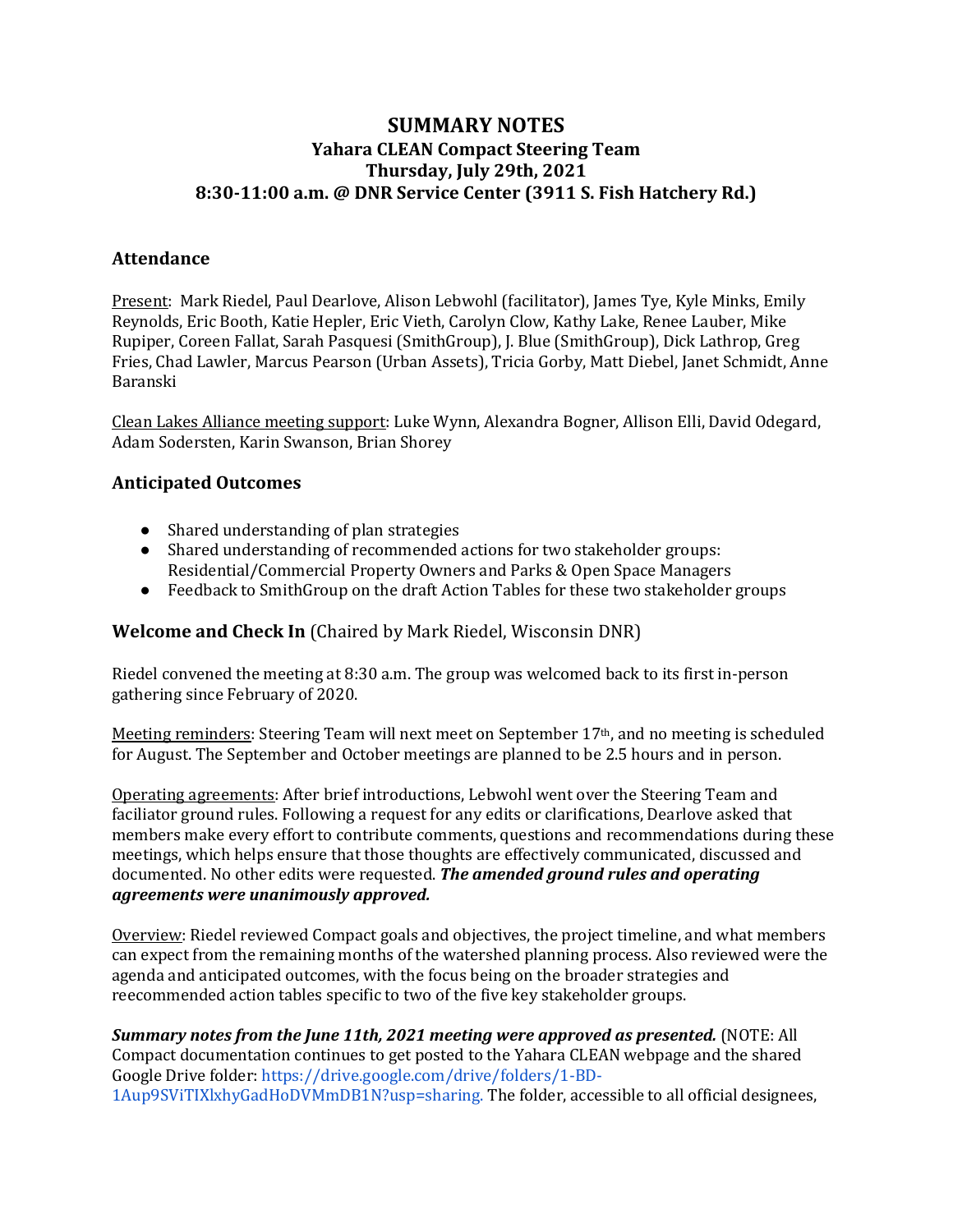## **SUMMARY NOTES Yahara CLEAN Compact Steering Team Thursday, July 29th, 2021 8:30-11:00 a.m. @ DNR Service Center (3911 S. Fish Hatchery Rd.)**

#### **Attendance**

Present: Mark Riedel, Paul Dearlove, Alison Lebwohl (facilitator), James Tye, Kyle Minks, Emily Reynolds, Eric Booth, Katie Hepler, Eric Vieth, Carolyn Clow, Kathy Lake, Renee Lauber, Mike Rupiper, Coreen Fallat, Sarah Pasquesi (SmithGroup), J. Blue (SmithGroup), Dick Lathrop, Greg Fries, Chad Lawler, Marcus Pearson (Urban Assets), Tricia Gorby, Matt Diebel, Janet Schmidt, Anne Baranski

Clean Lakes Alliance meeting support: Luke Wynn, Alexandra Bogner, Allison Elli, David Odegard, Adam Sodersten, Karin Swanson, Brian Shorey

### **Anticipated Outcomes**

- $\bullet$  Shared understanding of plan strategies
- Shared understanding of recommended actions for two stakeholder groups: Residential/Commercial Property Owners and Parks & Open Space Managers
- Feedback to SmithGroup on the draft Action Tables for these two stakeholder groups

### **Welcome and Check In** (Chaired by Mark Riedel, Wisconsin DNR)

Riedel convened the meeting at 8:30 a.m. The group was welcomed back to its first in-person gathering since February of 2020.

Meeting reminders: Steering Team will next meet on September  $17<sup>th</sup>$ , and no meeting is scheduled for August. The September and October meetings are planned to be 2.5 hours and in person.

Operating agreements: After brief introductions, Lebwohl went over the Steering Team and faciliator ground rules. Following a request for any edits or clarifications, Dearlove asked that members make every effort to contribute comments, questions and recommendations during these meetings, which helps ensure that those thoughts are effectively communicated, discussed and documented. No other edits were requested. The amended ground rules and operating *agreements were unanimously approved.*

Overview: Riedel reviewed Compact goals and objectives, the project timeline, and what members can expect from the remaining months of the watershed planning process. Also reviewed were the agenda and anticipated outcomes, with the focus being on the broader strategies and reecommended action tables specific to two of the five key stakeholder groups.

**Summary notes from the June 11th, 2021 meeting were approved as presented.** (NOTE: All Compact documentation continues to get posted to the Yahara CLEAN webpage and the shared Google Drive folder: https://drive.google.com/drive/folders/1-BD-1Aup9SViTIXlxhyGadHoDVMmDB1N?usp=sharing. The folder, accessible to all official designees,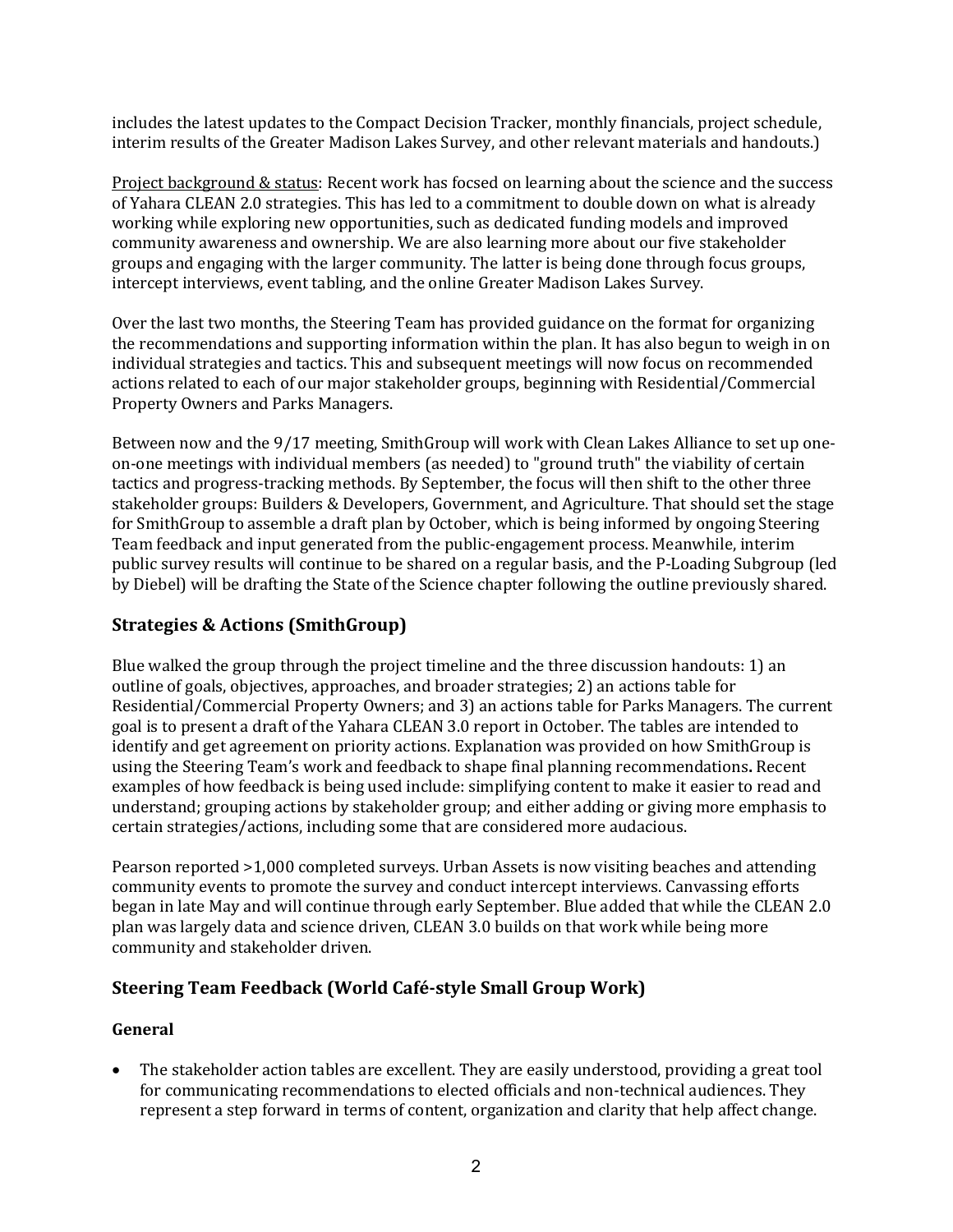includes the latest updates to the Compact Decision Tracker, monthly financials, project schedule, interim results of the Greater Madison Lakes Survey, and other relevant materials and handouts.)

Project background & status: Recent work has focsed on learning about the science and the success of Yahara CLEAN 2.0 strategies. This has led to a commitment to double down on what is already working while exploring new opportunities, such as dedicated funding models and improved community awareness and ownership. We are also learning more about our five stakeholder groups and engaging with the larger community. The latter is being done through focus groups, intercept interviews, event tabling, and the online Greater Madison Lakes Survey.

Over the last two months, the Steering Team has provided guidance on the format for organizing the recommendations and supporting information within the plan. It has also begun to weigh in on individual strategies and tactics. This and subsequent meetings will now focus on recommended actions related to each of our major stakeholder groups, beginning with Residential/Commercial Property Owners and Parks Managers.

Between now and the  $9/17$  meeting, SmithGroup will work with Clean Lakes Alliance to set up oneon-one meetings with individual members (as needed) to "ground truth" the viability of certain tactics and progress-tracking methods. By September, the focus will then shift to the other three stakeholder groups: Builders & Developers, Government, and Agriculture. That should set the stage for SmithGroup to assemble a draft plan by October, which is being informed by ongoing Steering Team feedback and input generated from the public-engagement process. Meanwhile, interim public survey results will continue to be shared on a regular basis, and the P-Loading Subgroup (led by Diebel) will be drafting the State of the Science chapter following the outline previously shared.

# **Strategies & Actions (SmithGroup)**

Blue walked the group through the project timeline and the three discussion handouts: 1) an outline of goals, objectives, approaches, and broader strategies; 2) an actions table for Residential/Commercial Property Owners; and 3) an actions table for Parks Managers. The current goal is to present a draft of the Yahara CLEAN 3.0 report in October. The tables are intended to identify and get agreement on priority actions. Explanation was provided on how SmithGroup is using the Steering Team's work and feedback to shape final planning recommendations. Recent examples of how feedback is being used include: simplifying content to make it easier to read and understand; grouping actions by stakeholder group; and either adding or giving more emphasis to certain strategies/actions, including some that are considered more audacious.

Pearson reported >1,000 completed surveys. Urban Assets is now visiting beaches and attending community events to promote the survey and conduct intercept interviews. Canvassing efforts began in late May and will continue through early September. Blue added that while the CLEAN 2.0 plan was largely data and science driven, CLEAN 3.0 builds on that work while being more community and stakeholder driven.

### **Steering Team Feedback (World Café-style Small Group Work)**

#### **General**

The stakeholder action tables are excellent. They are easily understood, providing a great tool for communicating recommendations to elected officials and non-technical audiences. They represent a step forward in terms of content, organization and clarity that help affect change.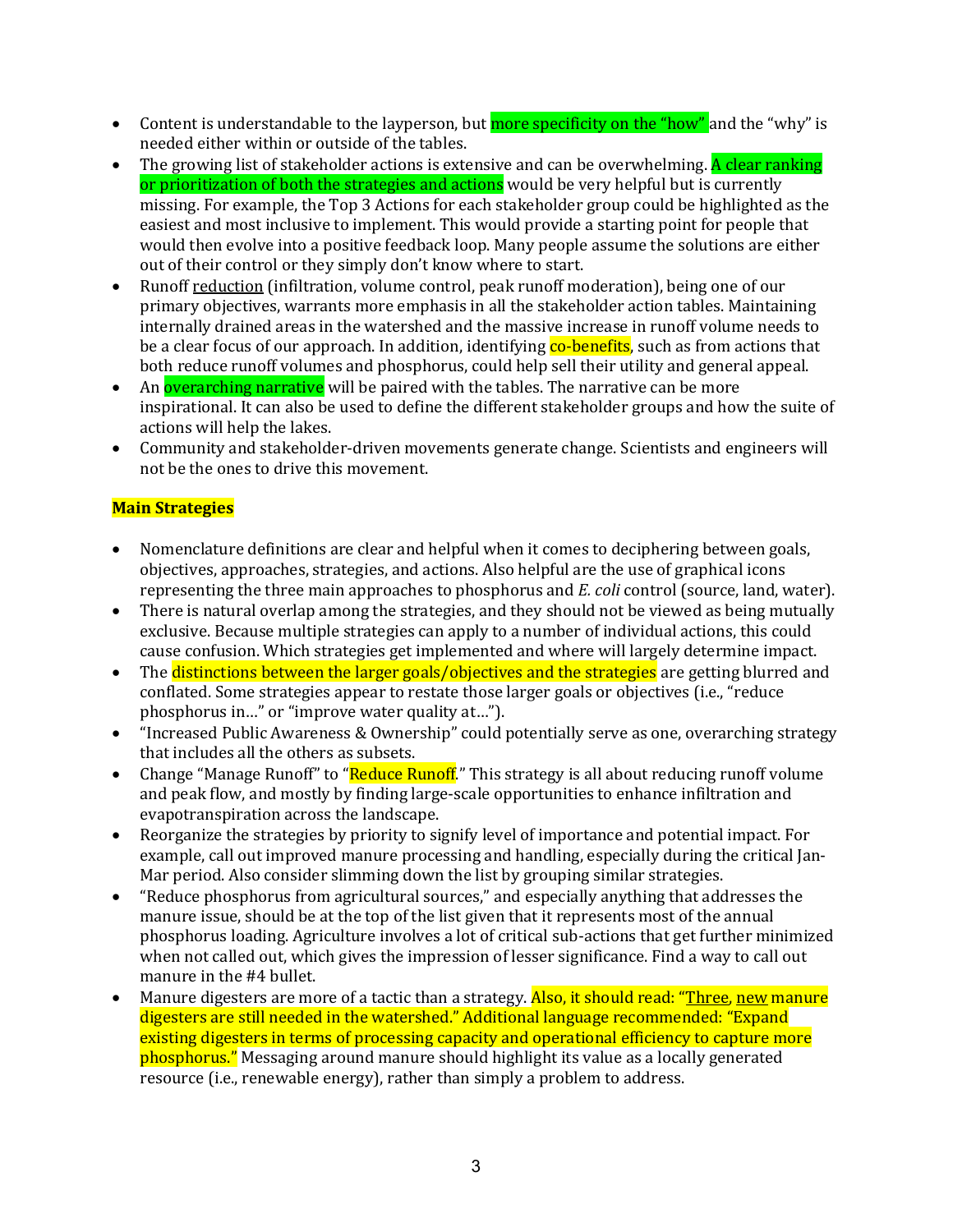- Content is understandable to the layperson, but more specificity on the "how" and the "why" is needed either within or outside of the tables.
- The growing list of stakeholder actions is extensive and can be overwhelming. A clear ranking or prioritization of both the strategies and actions would be very helpful but is currently missing. For example, the Top 3 Actions for each stakeholder group could be highlighted as the easiest and most inclusive to implement. This would provide a starting point for people that would then evolve into a positive feedback loop. Many people assume the solutions are either out of their control or they simply don't know where to start.
- Runoff reduction (infiltration, volume control, peak runoff moderation), being one of our primary objectives, warrants more emphasis in all the stakeholder action tables. Maintaining internally drained areas in the watershed and the massive increase in runoff volume needs to be a clear focus of our approach. In addition, identifying co-benefits, such as from actions that both reduce runoff volumes and phosphorus, could help sell their utility and general appeal.
- An **overarching narrative** will be paired with the tables. The narrative can be more inspirational. It can also be used to define the different stakeholder groups and how the suite of actions will help the lakes.
- Community and stakeholder-driven movements generate change. Scientists and engineers will not be the ones to drive this movement.

### **Main Strategies**

- Nomenclature definitions are clear and helpful when it comes to deciphering between goals, objectives, approaches, strategies, and actions. Also helpful are the use of graphical icons representing the three main approaches to phosphorus and *E. coli* control (source, land, water).
- There is natural overlap among the strategies, and they should not be viewed as being mutually exclusive. Because multiple strategies can apply to a number of individual actions, this could cause confusion. Which strategies get implemented and where will largely determine impact.
- The distinctions between the larger goals/objectives and the strategies are getting blurred and conflated. Some strategies appear to restate those larger goals or objectives (i.e., "reduce phosphorus in..." or "improve water quality at...").
- "Increased Public Awareness & Ownership" could potentially serve as one, overarching strategy that includes all the others as subsets.
- Change "Manage Runoff" to "Reduce Runoff." This strategy is all about reducing runoff volume and peak flow, and mostly by finding large-scale opportunities to enhance infiltration and evapotranspiration across the landscape.
- Reorganize the strategies by priority to signify level of importance and potential impact. For example, call out improved manure processing and handling, especially during the critical Jan-Mar period. Also consider slimming down the list by grouping similar strategies.
- "Reduce phosphorus from agricultural sources," and especially anything that addresses the manure issue, should be at the top of the list given that it represents most of the annual phosphorus loading. Agriculture involves a lot of critical sub-actions that get further minimized when not called out, which gives the impression of lesser significance. Find a way to call out manure in the #4 bullet.
- Manure digesters are more of a tactic than a strategy. Also, it should read: "Three, new manure digesters are still needed in the watershed." Additional language recommended: "Expand existing digesters in terms of processing capacity and operational efficiency to capture more phosphorus." Messaging around manure should highlight its value as a locally generated resource (i.e., renewable energy), rather than simply a problem to address.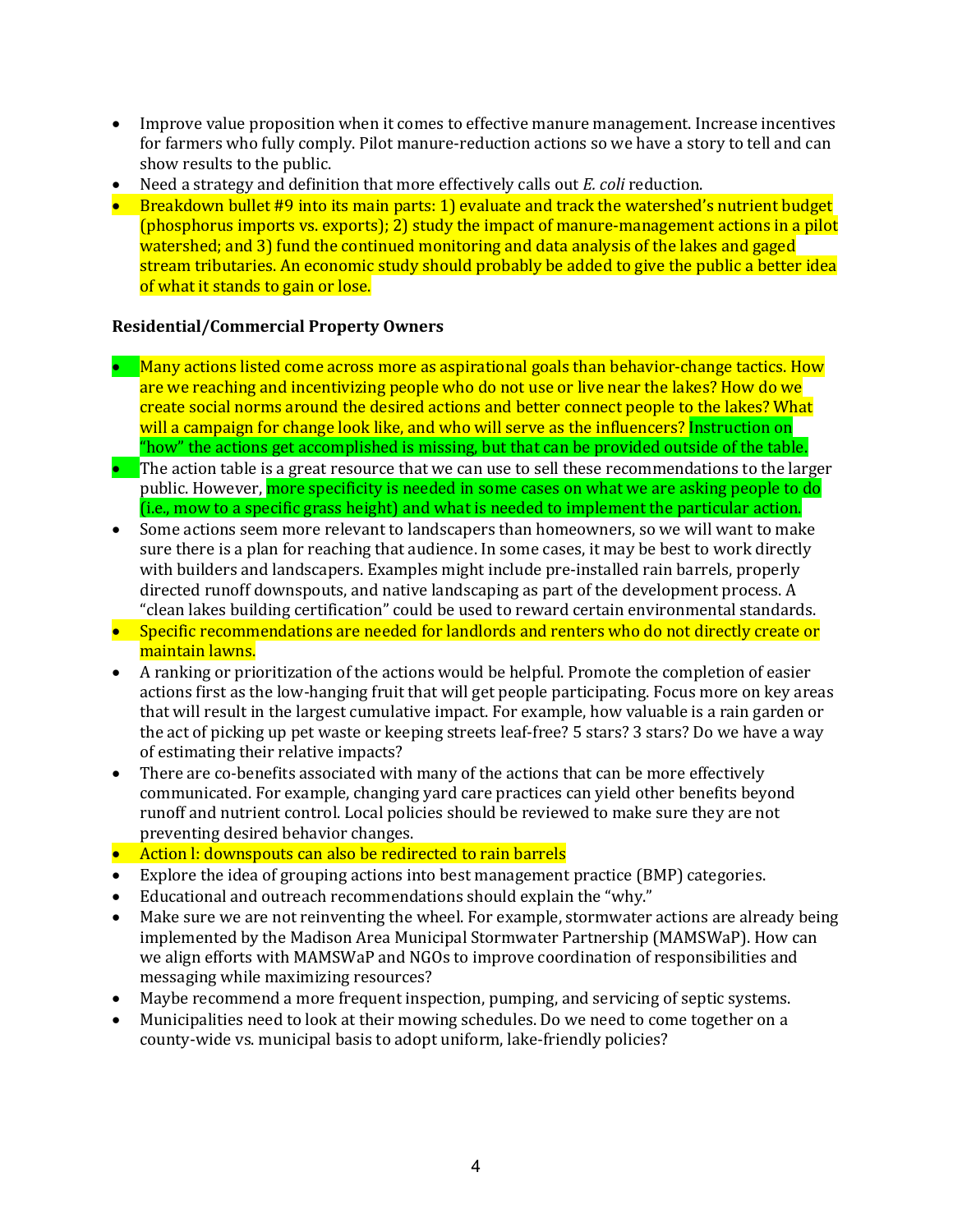- Improve value proposition when it comes to effective manure management. Increase incentives for farmers who fully comply. Pilot manure-reduction actions so we have a story to tell and can show results to the public.
- Need a strategy and definition that more effectively calls out *E. coli* reduction.
- Breakdown bullet #9 into its main parts: 1) evaluate and track the watershed's nutrient budget (phosphorus imports vs. exports); 2) study the impact of manure-management actions in a pilot watershed; and 3) fund the continued monitoring and data analysis of the lakes and gaged stream tributaries. An economic study should probably be added to give the public a better idea of what it stands to gain or lose.

#### **Residential/Commercial Property Owners**

- Many actions listed come across more as aspirational goals than behavior-change tactics. How are we reaching and incentivizing people who do not use or live near the lakes? How do we create social norms around the desired actions and better connect people to the lakes? What will a campaign for change look like, and who will serve as the influencers? Instruction on "how" the actions get accomplished is missing, but that can be provided outside of the table.
- $\bullet$  The action table is a great resource that we can use to sell these recommendations to the larger public. However, more specificity is needed in some cases on what we are asking people to do (i.e., mow to a specific grass height) and what is needed to implement the particular action.
- Some actions seem more relevant to landscapers than homeowners, so we will want to make sure there is a plan for reaching that audience. In some cases, it may be best to work directly with builders and landscapers. Examples might include pre-installed rain barrels, properly directed runoff downspouts, and native landscaping as part of the development process. A "clean lakes building certification" could be used to reward certain environmental standards.
- Specific recommendations are needed for landlords and renters who do not directly create or maintain lawns.
- A ranking or prioritization of the actions would be helpful. Promote the completion of easier actions first as the low-hanging fruit that will get people participating. Focus more on key areas that will result in the largest cumulative impact. For example, how valuable is a rain garden or the act of picking up pet waste or keeping streets leaf-free? 5 stars? 3 stars? Do we have a way of estimating their relative impacts?
- There are co-benefits associated with many of the actions that can be more effectively communicated. For example, changing yard care practices can yield other benefits beyond runoff and nutrient control. Local policies should be reviewed to make sure they are not preventing desired behavior changes.
- Action I: downspouts can also be redirected to rain barrels
- Explore the idea of grouping actions into best management practice (BMP) categories.
- Educational and outreach recommendations should explain the "why."
- Make sure we are not reinventing the wheel. For example, stormwater actions are already being implemented by the Madison Area Municipal Stormwater Partnership (MAMSWaP). How can we align efforts with MAMSWaP and NGOs to improve coordination of responsibilities and messaging while maximizing resources?
- Maybe recommend a more frequent inspection, pumping, and servicing of septic systems.
- Municipalities need to look at their mowing schedules. Do we need to come together on a county-wide vs. municipal basis to adopt uniform, lake-friendly policies?